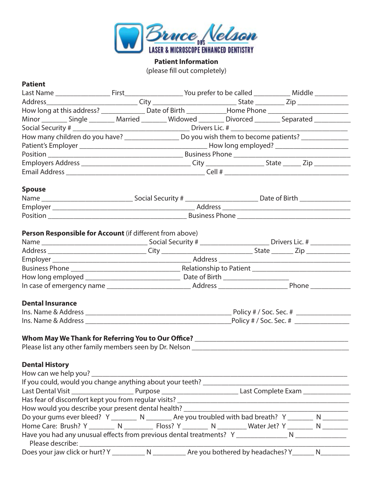

**Patient Information**

(please fill out completely)

## **Patient**

| Last Name ________________________First_____________________You prefer to be called _____________________Middle ____________                                                                                                                                                                                        |  |                                                                                                                                                                                                                                |  |  |  |  |
|---------------------------------------------------------------------------------------------------------------------------------------------------------------------------------------------------------------------------------------------------------------------------------------------------------------------|--|--------------------------------------------------------------------------------------------------------------------------------------------------------------------------------------------------------------------------------|--|--|--|--|
|                                                                                                                                                                                                                                                                                                                     |  |                                                                                                                                                                                                                                |  |  |  |  |
| How long at this address? _______________________Date of Birth ______________Home Phone ______________________                                                                                                                                                                                                      |  |                                                                                                                                                                                                                                |  |  |  |  |
| Minor __________ Single __________ Married _________ Widowed _________ Divorced __________ Separated __________                                                                                                                                                                                                     |  |                                                                                                                                                                                                                                |  |  |  |  |
|                                                                                                                                                                                                                                                                                                                     |  |                                                                                                                                                                                                                                |  |  |  |  |
|                                                                                                                                                                                                                                                                                                                     |  |                                                                                                                                                                                                                                |  |  |  |  |
|                                                                                                                                                                                                                                                                                                                     |  |                                                                                                                                                                                                                                |  |  |  |  |
|                                                                                                                                                                                                                                                                                                                     |  |                                                                                                                                                                                                                                |  |  |  |  |
|                                                                                                                                                                                                                                                                                                                     |  |                                                                                                                                                                                                                                |  |  |  |  |
|                                                                                                                                                                                                                                                                                                                     |  |                                                                                                                                                                                                                                |  |  |  |  |
| <b>Spouse</b>                                                                                                                                                                                                                                                                                                       |  |                                                                                                                                                                                                                                |  |  |  |  |
|                                                                                                                                                                                                                                                                                                                     |  |                                                                                                                                                                                                                                |  |  |  |  |
|                                                                                                                                                                                                                                                                                                                     |  |                                                                                                                                                                                                                                |  |  |  |  |
|                                                                                                                                                                                                                                                                                                                     |  | Position Position Position Phone Phone Phone Phone Phone Phone Phone Phone Phone Phone Phone Phone Phone Phone Phone Phone Phone Phone Phone Phone Phone Phone Phone Phone Phone Phone Phone Phone Phone Phone Phone Phone Pho |  |  |  |  |
| <b>Person Responsible for Account</b> (if different from above)                                                                                                                                                                                                                                                     |  |                                                                                                                                                                                                                                |  |  |  |  |
|                                                                                                                                                                                                                                                                                                                     |  |                                                                                                                                                                                                                                |  |  |  |  |
|                                                                                                                                                                                                                                                                                                                     |  |                                                                                                                                                                                                                                |  |  |  |  |
|                                                                                                                                                                                                                                                                                                                     |  |                                                                                                                                                                                                                                |  |  |  |  |
|                                                                                                                                                                                                                                                                                                                     |  |                                                                                                                                                                                                                                |  |  |  |  |
|                                                                                                                                                                                                                                                                                                                     |  |                                                                                                                                                                                                                                |  |  |  |  |
|                                                                                                                                                                                                                                                                                                                     |  |                                                                                                                                                                                                                                |  |  |  |  |
| <b>Dental Insurance</b>                                                                                                                                                                                                                                                                                             |  |                                                                                                                                                                                                                                |  |  |  |  |
|                                                                                                                                                                                                                                                                                                                     |  |                                                                                                                                                                                                                                |  |  |  |  |
|                                                                                                                                                                                                                                                                                                                     |  |                                                                                                                                                                                                                                |  |  |  |  |
|                                                                                                                                                                                                                                                                                                                     |  |                                                                                                                                                                                                                                |  |  |  |  |
| Whom May We Thank for Referring You to Our Office? Name of the Control of the United States of the United States of the United States of the United States of the United States of the United States of the United States of t<br>Please list any other family members seen by Dr. Nelson _________________________ |  |                                                                                                                                                                                                                                |  |  |  |  |
|                                                                                                                                                                                                                                                                                                                     |  |                                                                                                                                                                                                                                |  |  |  |  |
| <b>Dental History</b>                                                                                                                                                                                                                                                                                               |  |                                                                                                                                                                                                                                |  |  |  |  |
| How can we help you? _______                                                                                                                                                                                                                                                                                        |  |                                                                                                                                                                                                                                |  |  |  |  |
|                                                                                                                                                                                                                                                                                                                     |  |                                                                                                                                                                                                                                |  |  |  |  |
|                                                                                                                                                                                                                                                                                                                     |  | Last Dental Visit __________________________Purpose ______________________________Last Complete Exam _______________                                                                                                           |  |  |  |  |
|                                                                                                                                                                                                                                                                                                                     |  |                                                                                                                                                                                                                                |  |  |  |  |
|                                                                                                                                                                                                                                                                                                                     |  |                                                                                                                                                                                                                                |  |  |  |  |
| Do your gums ever bleed? Y _________ N _________ Are you troubled with bad breath? Y ________ N ________                                                                                                                                                                                                            |  |                                                                                                                                                                                                                                |  |  |  |  |
| Home Care: Brush? Y _________ N _____________ Floss? Y __________ N __________ Water Jet? Y _________ N ________                                                                                                                                                                                                    |  |                                                                                                                                                                                                                                |  |  |  |  |
|                                                                                                                                                                                                                                                                                                                     |  |                                                                                                                                                                                                                                |  |  |  |  |
|                                                                                                                                                                                                                                                                                                                     |  |                                                                                                                                                                                                                                |  |  |  |  |